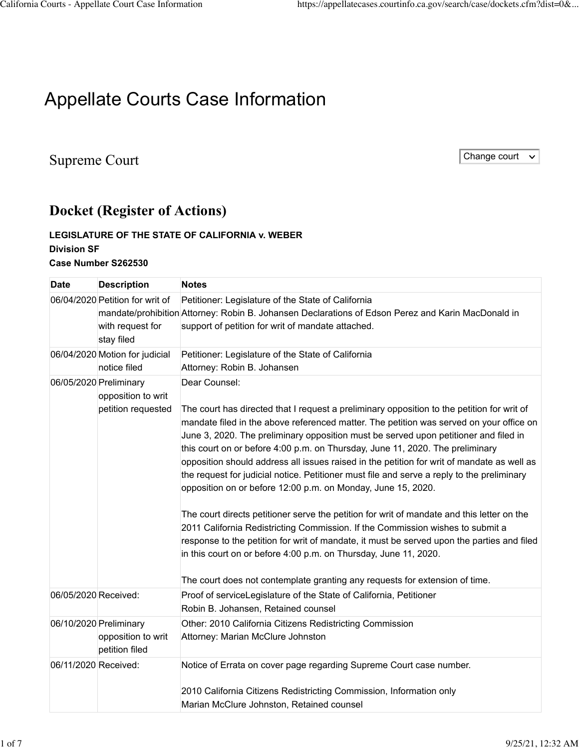## Appellate Courts Case Information

## Supreme Court Change court Change court Change court Change court Change court Change court Change court Change court

## **Docket (Register of Actions)**

## **LEGISLATURE OF THE STATE OF CALIFORNIA v. WEBER Division SF Case Number [S262530](https://appellatecases.courtinfo.ca.gov/search/case/mainCaseScreen.cfm?dist=0&doc_id=2319759&doc_no=S262530&request_token=NiIwLSEmTkw3W1BRSCM9VEJIQFw0UDxTJSI%2BUzlTMCAgCg%3D%3D)**

| <b>Date</b>            | <b>Description</b>                                                | <b>Notes</b>                                                                                                                                                                                                                                                                                                                                                                                                                                                                                                                                                                                                                                                                                                                                                                                                                                                                                                                                                                                                                                                                 |
|------------------------|-------------------------------------------------------------------|------------------------------------------------------------------------------------------------------------------------------------------------------------------------------------------------------------------------------------------------------------------------------------------------------------------------------------------------------------------------------------------------------------------------------------------------------------------------------------------------------------------------------------------------------------------------------------------------------------------------------------------------------------------------------------------------------------------------------------------------------------------------------------------------------------------------------------------------------------------------------------------------------------------------------------------------------------------------------------------------------------------------------------------------------------------------------|
|                        | 06/04/2020 Petition for writ of<br>with request for<br>stay filed | Petitioner: Legislature of the State of California<br>mandate/prohibition Attorney: Robin B. Johansen Declarations of Edson Perez and Karin MacDonald in<br>support of petition for writ of mandate attached.                                                                                                                                                                                                                                                                                                                                                                                                                                                                                                                                                                                                                                                                                                                                                                                                                                                                |
|                        | 06/04/2020 Motion for judicial<br>notice filed                    | Petitioner: Legislature of the State of California<br>Attorney: Robin B. Johansen                                                                                                                                                                                                                                                                                                                                                                                                                                                                                                                                                                                                                                                                                                                                                                                                                                                                                                                                                                                            |
| 06/05/2020 Preliminary | opposition to writ<br>petition requested                          | Dear Counsel:<br>The court has directed that I request a preliminary opposition to the petition for writ of<br>mandate filed in the above referenced matter. The petition was served on your office on<br>June 3, 2020. The preliminary opposition must be served upon petitioner and filed in<br>this court on or before 4:00 p.m. on Thursday, June 11, 2020. The preliminary<br>opposition should address all issues raised in the petition for writ of mandate as well as<br>the request for judicial notice. Petitioner must file and serve a reply to the preliminary<br>opposition on or before 12:00 p.m. on Monday, June 15, 2020.<br>The court directs petitioner serve the petition for writ of mandate and this letter on the<br>2011 California Redistricting Commission. If the Commission wishes to submit a<br>response to the petition for writ of mandate, it must be served upon the parties and filed<br>in this court on or before 4:00 p.m. on Thursday, June 11, 2020.<br>The court does not contemplate granting any requests for extension of time. |
| 06/05/2020 Received:   |                                                                   | Proof of serviceLegislature of the State of California, Petitioner<br>Robin B. Johansen, Retained counsel                                                                                                                                                                                                                                                                                                                                                                                                                                                                                                                                                                                                                                                                                                                                                                                                                                                                                                                                                                    |
| 06/10/2020 Preliminary | opposition to writ<br>petition filed                              | Other: 2010 California Citizens Redistricting Commission<br>Attorney: Marian McClure Johnston                                                                                                                                                                                                                                                                                                                                                                                                                                                                                                                                                                                                                                                                                                                                                                                                                                                                                                                                                                                |
| 06/11/2020 Received:   |                                                                   | Notice of Errata on cover page regarding Supreme Court case number.<br>2010 California Citizens Redistricting Commission, Information only<br>Marian McClure Johnston, Retained counsel                                                                                                                                                                                                                                                                                                                                                                                                                                                                                                                                                                                                                                                                                                                                                                                                                                                                                      |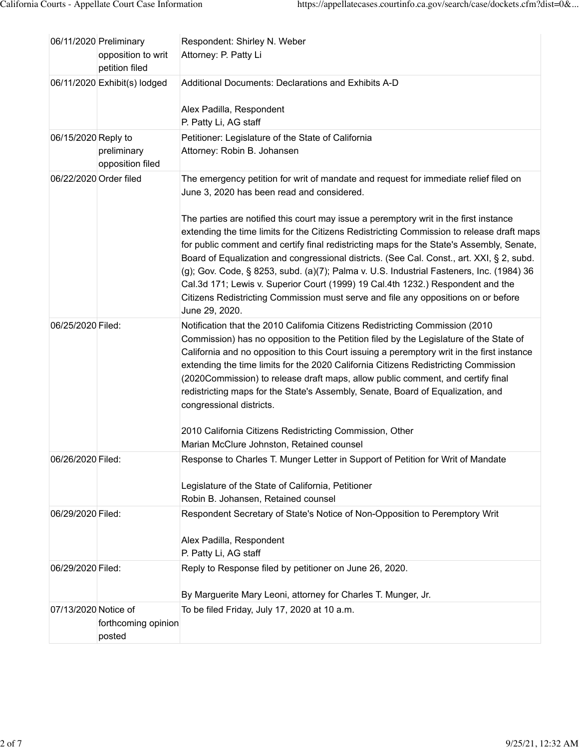|                        | 06/11/2020 Preliminary<br>opposition to writ<br>petition filed | Respondent: Shirley N. Weber<br>Attorney: P. Patty Li                                                                                                                                                                                                                                                                                                                                                                                                                                                                                                                                                                                                                                                                                                                                                     |
|------------------------|----------------------------------------------------------------|-----------------------------------------------------------------------------------------------------------------------------------------------------------------------------------------------------------------------------------------------------------------------------------------------------------------------------------------------------------------------------------------------------------------------------------------------------------------------------------------------------------------------------------------------------------------------------------------------------------------------------------------------------------------------------------------------------------------------------------------------------------------------------------------------------------|
|                        | 06/11/2020 Exhibit(s) lodged                                   | Additional Documents: Declarations and Exhibits A-D<br>Alex Padilla, Respondent<br>P. Patty Li, AG staff                                                                                                                                                                                                                                                                                                                                                                                                                                                                                                                                                                                                                                                                                                  |
| 06/15/2020 Reply to    | preliminary<br>opposition filed                                | Petitioner: Legislature of the State of California<br>Attorney: Robin B. Johansen                                                                                                                                                                                                                                                                                                                                                                                                                                                                                                                                                                                                                                                                                                                         |
| 06/22/2020 Order filed |                                                                | The emergency petition for writ of mandate and request for immediate relief filed on<br>June 3, 2020 has been read and considered.<br>The parties are notified this court may issue a peremptory writ in the first instance<br>extending the time limits for the Citizens Redistricting Commission to release draft maps<br>for public comment and certify final redistricting maps for the State's Assembly, Senate,<br>Board of Equalization and congressional districts. (See Cal. Const., art. XXI, § 2, subd.<br>(g); Gov. Code, § 8253, subd. (a)(7); Palma v. U.S. Industrial Fasteners, Inc. (1984) 36<br>Cal.3d 171; Lewis v. Superior Court (1999) 19 Cal.4th 1232.) Respondent and the<br>Citizens Redistricting Commission must serve and file any oppositions on or before<br>June 29, 2020. |
| 06/25/2020 Filed:      |                                                                | Notification that the 2010 Califomia Citizens Redistricting Commission (2010<br>Commission) has no opposition to the Petition filed by the Legislature of the State of<br>California and no opposition to this Court issuing a peremptory writ in the first instance<br>extending the time limits for the 2020 California Citizens Redistricting Commission<br>(2020Commission) to release draft maps, allow public comment, and certify final<br>redistricting maps for the State's Assembly, Senate, Board of Equalization, and<br>congressional districts.<br>2010 California Citizens Redistricting Commission, Other<br>Marian McClure Johnston, Retained counsel                                                                                                                                    |
| 06/26/2020 Filed:      |                                                                | Response to Charles T. Munger Letter in Support of Petition for Writ of Mandate<br>Legislature of the State of California, Petitioner<br>Robin B. Johansen, Retained counsel                                                                                                                                                                                                                                                                                                                                                                                                                                                                                                                                                                                                                              |
| 06/29/2020 Filed:      |                                                                | Respondent Secretary of State's Notice of Non-Opposition to Peremptory Writ<br>Alex Padilla, Respondent<br>P. Patty Li, AG staff                                                                                                                                                                                                                                                                                                                                                                                                                                                                                                                                                                                                                                                                          |
| 06/29/2020 Filed:      |                                                                | Reply to Response filed by petitioner on June 26, 2020.<br>By Marguerite Mary Leoni, attorney for Charles T. Munger, Jr.                                                                                                                                                                                                                                                                                                                                                                                                                                                                                                                                                                                                                                                                                  |
| 07/13/2020 Notice of   | forthcoming opinion<br>posted                                  | To be filed Friday, July 17, 2020 at 10 a.m.                                                                                                                                                                                                                                                                                                                                                                                                                                                                                                                                                                                                                                                                                                                                                              |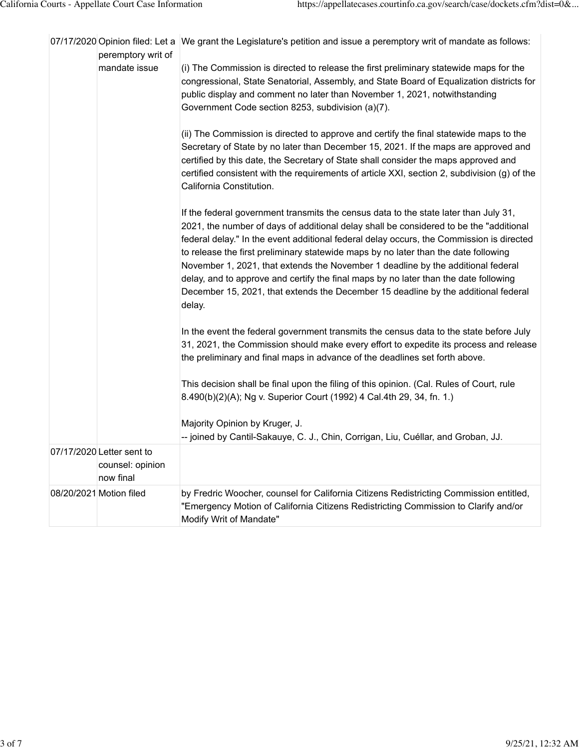|  | peremptory writ of                                         | 07/17/2020 Opinion filed: Let a We grant the Legislature's petition and issue a peremptory writ of mandate as follows:                                                                                                                                                                                                                                                                                                                                                                                                                                                                                                                        |
|--|------------------------------------------------------------|-----------------------------------------------------------------------------------------------------------------------------------------------------------------------------------------------------------------------------------------------------------------------------------------------------------------------------------------------------------------------------------------------------------------------------------------------------------------------------------------------------------------------------------------------------------------------------------------------------------------------------------------------|
|  | mandate issue                                              | (i) The Commission is directed to release the first preliminary statewide maps for the<br>congressional, State Senatorial, Assembly, and State Board of Equalization districts for<br>public display and comment no later than November 1, 2021, notwithstanding<br>Government Code section 8253, subdivision (a)(7).                                                                                                                                                                                                                                                                                                                         |
|  |                                                            | (ii) The Commission is directed to approve and certify the final statewide maps to the<br>Secretary of State by no later than December 15, 2021. If the maps are approved and<br>certified by this date, the Secretary of State shall consider the maps approved and<br>certified consistent with the requirements of article XXI, section 2, subdivision (g) of the<br>California Constitution.                                                                                                                                                                                                                                              |
|  |                                                            | If the federal government transmits the census data to the state later than July 31,<br>2021, the number of days of additional delay shall be considered to be the "additional<br>federal delay." In the event additional federal delay occurs, the Commission is directed<br>to release the first preliminary statewide maps by no later than the date following<br>November 1, 2021, that extends the November 1 deadline by the additional federal<br>delay, and to approve and certify the final maps by no later than the date following<br>December 15, 2021, that extends the December 15 deadline by the additional federal<br>delay. |
|  |                                                            | In the event the federal government transmits the census data to the state before July<br>31, 2021, the Commission should make every effort to expedite its process and release<br>the preliminary and final maps in advance of the deadlines set forth above.                                                                                                                                                                                                                                                                                                                                                                                |
|  |                                                            | This decision shall be final upon the filing of this opinion. (Cal. Rules of Court, rule<br>8.490(b)(2)(A); Ng v. Superior Court (1992) 4 Cal.4th 29, 34, fn. 1.)                                                                                                                                                                                                                                                                                                                                                                                                                                                                             |
|  |                                                            | Majority Opinion by Kruger, J.                                                                                                                                                                                                                                                                                                                                                                                                                                                                                                                                                                                                                |
|  |                                                            | -- joined by Cantil-Sakauye, C. J., Chin, Corrigan, Liu, Cuéllar, and Groban, JJ.                                                                                                                                                                                                                                                                                                                                                                                                                                                                                                                                                             |
|  | 07/17/2020 Letter sent to<br>counsel: opinion<br>now final |                                                                                                                                                                                                                                                                                                                                                                                                                                                                                                                                                                                                                                               |
|  | 08/20/2021 Motion filed                                    | by Fredric Woocher, counsel for California Citizens Redistricting Commission entitled,<br>"Emergency Motion of California Citizens Redistricting Commission to Clarify and/or<br>Modify Writ of Mandate"                                                                                                                                                                                                                                                                                                                                                                                                                                      |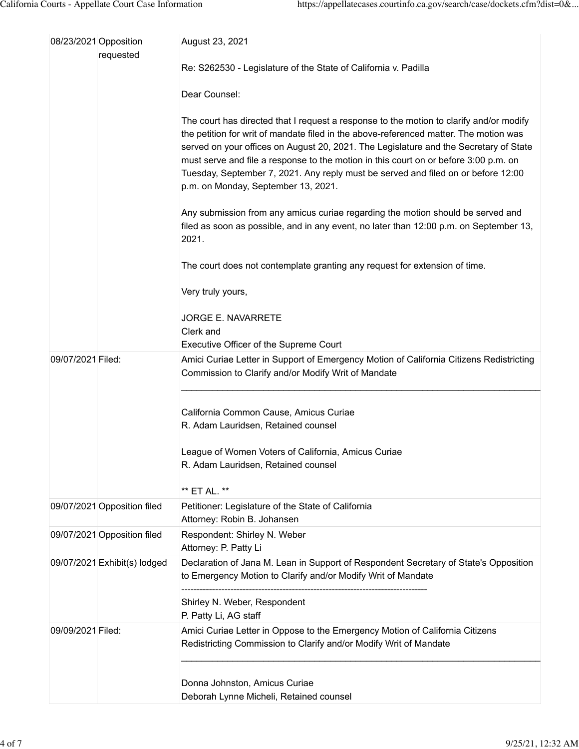|                   | 08/23/2021 Opposition        | August 23, 2021                                                                                                                                                                                                                                                                                                                                                                                                                                                                               |
|-------------------|------------------------------|-----------------------------------------------------------------------------------------------------------------------------------------------------------------------------------------------------------------------------------------------------------------------------------------------------------------------------------------------------------------------------------------------------------------------------------------------------------------------------------------------|
|                   | requested                    | Re: S262530 - Legislature of the State of California v. Padilla                                                                                                                                                                                                                                                                                                                                                                                                                               |
|                   |                              | Dear Counsel:                                                                                                                                                                                                                                                                                                                                                                                                                                                                                 |
|                   |                              | The court has directed that I request a response to the motion to clarify and/or modify<br>the petition for writ of mandate filed in the above-referenced matter. The motion was<br>served on your offices on August 20, 2021. The Legislature and the Secretary of State<br>must serve and file a response to the motion in this court on or before 3:00 p.m. on<br>Tuesday, September 7, 2021. Any reply must be served and filed on or before 12:00<br>p.m. on Monday, September 13, 2021. |
|                   |                              | Any submission from any amicus curiae regarding the motion should be served and<br>filed as soon as possible, and in any event, no later than 12:00 p.m. on September 13,<br>2021.                                                                                                                                                                                                                                                                                                            |
|                   |                              | The court does not contemplate granting any request for extension of time.                                                                                                                                                                                                                                                                                                                                                                                                                    |
|                   |                              | Very truly yours,                                                                                                                                                                                                                                                                                                                                                                                                                                                                             |
|                   |                              | JORGE E. NAVARRETE                                                                                                                                                                                                                                                                                                                                                                                                                                                                            |
|                   |                              | Clerk and<br>Executive Officer of the Supreme Court                                                                                                                                                                                                                                                                                                                                                                                                                                           |
| 09/07/2021 Filed: |                              | Amici Curiae Letter in Support of Emergency Motion of California Citizens Redistricting<br>Commission to Clarify and/or Modify Writ of Mandate                                                                                                                                                                                                                                                                                                                                                |
|                   |                              | California Common Cause, Amicus Curiae<br>R. Adam Lauridsen, Retained counsel                                                                                                                                                                                                                                                                                                                                                                                                                 |
|                   |                              | League of Women Voters of California, Amicus Curiae<br>R. Adam Lauridsen, Retained counsel                                                                                                                                                                                                                                                                                                                                                                                                    |
|                   |                              | ** ET AL. **                                                                                                                                                                                                                                                                                                                                                                                                                                                                                  |
|                   | 09/07/2021 Opposition filed  | Petitioner: Legislature of the State of California<br>Attorney: Robin B. Johansen                                                                                                                                                                                                                                                                                                                                                                                                             |
|                   | 09/07/2021 Opposition filed  | Respondent: Shirley N. Weber<br>Attorney: P. Patty Li                                                                                                                                                                                                                                                                                                                                                                                                                                         |
|                   | 09/07/2021 Exhibit(s) lodged | Declaration of Jana M. Lean in Support of Respondent Secretary of State's Opposition<br>to Emergency Motion to Clarify and/or Modify Writ of Mandate                                                                                                                                                                                                                                                                                                                                          |
|                   |                              | Shirley N. Weber, Respondent<br>P. Patty Li, AG staff                                                                                                                                                                                                                                                                                                                                                                                                                                         |
| 09/09/2021 Filed: |                              | Amici Curiae Letter in Oppose to the Emergency Motion of California Citizens<br>Redistricting Commission to Clarify and/or Modify Writ of Mandate                                                                                                                                                                                                                                                                                                                                             |
|                   |                              | Donna Johnston, Amicus Curiae<br>Deborah Lynne Micheli, Retained counsel                                                                                                                                                                                                                                                                                                                                                                                                                      |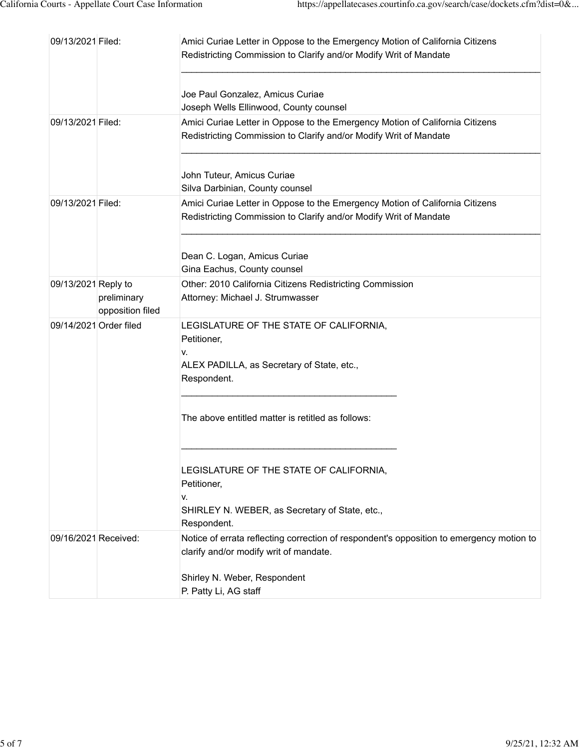| 09/13/2021 Filed:      |                                 | Amici Curiae Letter in Oppose to the Emergency Motion of California Citizens<br>Redistricting Commission to Clarify and/or Modify Writ of Mandate                                           |
|------------------------|---------------------------------|---------------------------------------------------------------------------------------------------------------------------------------------------------------------------------------------|
|                        |                                 | Joe Paul Gonzalez, Amicus Curiae<br>Joseph Wells Ellinwood, County counsel                                                                                                                  |
| 09/13/2021 Filed:      |                                 | Amici Curiae Letter in Oppose to the Emergency Motion of California Citizens<br>Redistricting Commission to Clarify and/or Modify Writ of Mandate                                           |
|                        |                                 | John Tuteur, Amicus Curiae<br>Silva Darbinian, County counsel                                                                                                                               |
| 09/13/2021 Filed:      |                                 | Amici Curiae Letter in Oppose to the Emergency Motion of California Citizens<br>Redistricting Commission to Clarify and/or Modify Writ of Mandate                                           |
|                        |                                 | Dean C. Logan, Amicus Curiae<br>Gina Eachus, County counsel                                                                                                                                 |
| 09/13/2021 Reply to    | preliminary<br>opposition filed | Other: 2010 California Citizens Redistricting Commission<br>Attorney: Michael J. Strumwasser                                                                                                |
| 09/14/2021 Order filed |                                 | LEGISLATURE OF THE STATE OF CALIFORNIA,<br>Petitioner,<br>v.<br>ALEX PADILLA, as Secretary of State, etc.,<br>Respondent.                                                                   |
|                        |                                 | The above entitled matter is retitled as follows:                                                                                                                                           |
|                        |                                 | LEGISLATURE OF THE STATE OF CALIFORNIA,<br>Petitioner,<br>V.<br>SHIRLEY N. WEBER, as Secretary of State, etc.,<br>Respondent.                                                               |
| 09/16/2021 Received:   |                                 | Notice of errata reflecting correction of respondent's opposition to emergency motion to<br>clarify and/or modify writ of mandate.<br>Shirley N. Weber, Respondent<br>P. Patty Li, AG staff |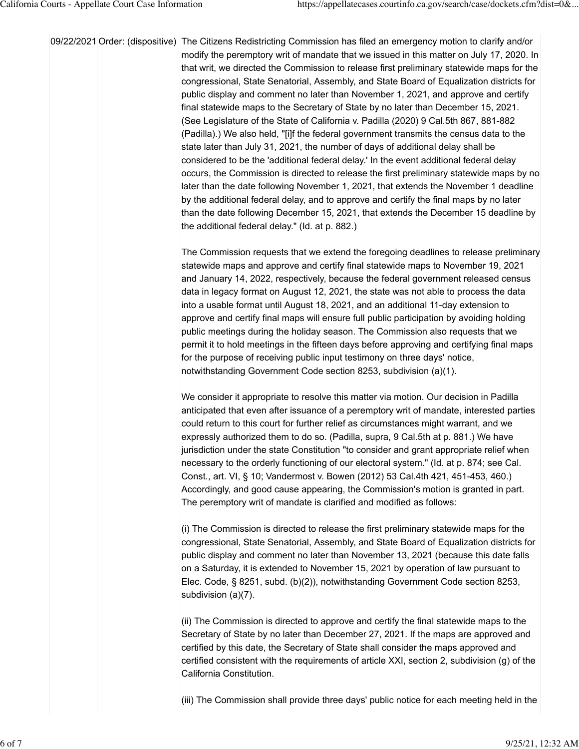09/22/2021 Order: (dispositive) The Citizens Redistricting Commission has filed an emergency motion to clarify and/or modify the peremptory writ of mandate that we issued in this matter on July 17, 2020. In that writ, we directed the Commission to release first preliminary statewide maps for the congressional, State Senatorial, Assembly, and State Board of Equalization districts for public display and comment no later than November 1, 2021, and approve and certify final statewide maps to the Secretary of State by no later than December 15, 2021. (See Legislature of the State of California v. Padilla (2020) 9 Cal.5th 867, 881-882 (Padilla).) We also held, "[i]f the federal government transmits the census data to the state later than July 31, 2021, the number of days of additional delay shall be considered to be the 'additional federal delay.' In the event additional federal delay occurs, the Commission is directed to release the first preliminary statewide maps by no later than the date following November 1, 2021, that extends the November 1 deadline by the additional federal delay, and to approve and certify the final maps by no later than the date following December 15, 2021, that extends the December 15 deadline by the additional federal delay." (Id. at p. 882.)

> The Commission requests that we extend the foregoing deadlines to release preliminary statewide maps and approve and certify final statewide maps to November 19, 2021 and January 14, 2022, respectively, because the federal government released census data in legacy format on August 12, 2021, the state was not able to process the data into a usable format until August 18, 2021, and an additional 11-day extension to approve and certify final maps will ensure full public participation by avoiding holding public meetings during the holiday season. The Commission also requests that we permit it to hold meetings in the fifteen days before approving and certifying final maps for the purpose of receiving public input testimony on three days' notice, notwithstanding Government Code section 8253, subdivision (a)(1).

We consider it appropriate to resolve this matter via motion. Our decision in Padilla anticipated that even after issuance of a peremptory writ of mandate, interested parties could return to this court for further relief as circumstances might warrant, and we expressly authorized them to do so. (Padilla, supra, 9 Cal.5th at p. 881.) We have jurisdiction under the state Constitution "to consider and grant appropriate relief when necessary to the orderly functioning of our electoral system." (Id. at p. 874; see Cal. Const., art. VI, § 10; Vandermost v. Bowen (2012) 53 Cal.4th 421, 451-453, 460.) Accordingly, and good cause appearing, the Commission's motion is granted in part. The peremptory writ of mandate is clarified and modified as follows:

(i) The Commission is directed to release the first preliminary statewide maps for the congressional, State Senatorial, Assembly, and State Board of Equalization districts for public display and comment no later than November 13, 2021 (because this date falls on a Saturday, it is extended to November 15, 2021 by operation of law pursuant to Elec. Code, § 8251, subd. (b)(2)), notwithstanding Government Code section 8253, subdivision (a)(7).

(ii) The Commission is directed to approve and certify the final statewide maps to the Secretary of State by no later than December 27, 2021. If the maps are approved and certified by this date, the Secretary of State shall consider the maps approved and certified consistent with the requirements of article XXI, section 2, subdivision (g) of the California Constitution.

(iii) The Commission shall provide three days' public notice for each meeting held in the